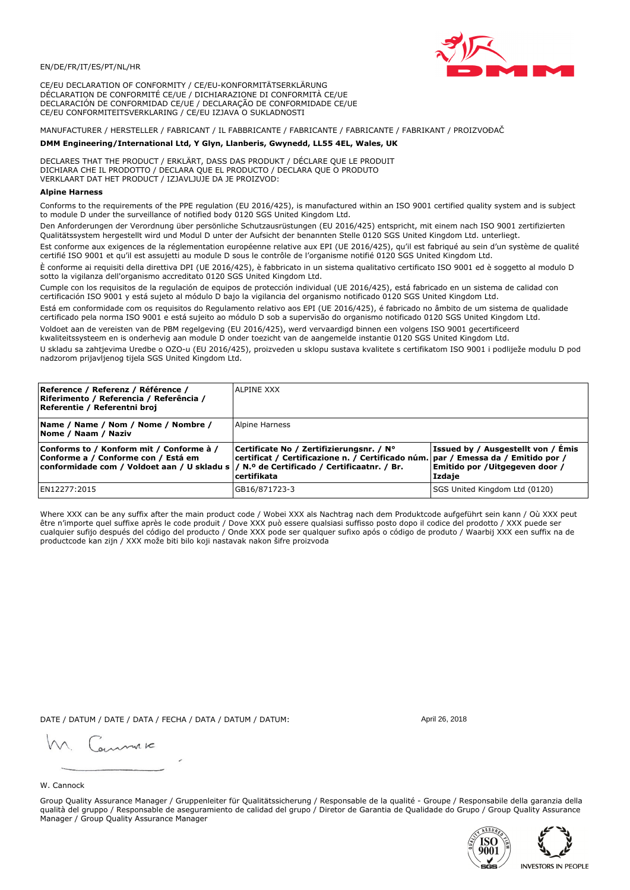

CE/EU DECLARATION OF CONFORMITY / CE/EU-KONFORMITÄTSERKLÄRUNG DÉCLARATION DE CONFORMITÉ CE/UE / DICHIARAZIONE DI CONFORMITÀ CE/UE DECLARACIÓN DE CONFORMIDAD CE/UE / DECLARAÇÃO DE CONFORMIDADE CE/UE CE/EU CONFORMITEITSVERKLARING / CE/EU IZJAVA O SUKLADNOSTI

# MANUFACTURER / HERSTELLER / FABRICANT / IL FABBRICANTE / FABRICANTE / FABRICANTE / FABRIKANT / PROIZVOĐAČ

## DMM Engineering/International Ltd, Y Glyn, Llanberis, Gwynedd, LL55 4EL, Wales, UK

DECLARES THAT THE PRODUCT / ERKLÄRT, DASS DAS PRODUKT / DÉCLARE QUE LE PRODUIT<br>DICHIARA CHE IL PRODOTTO / DECLARA QUE EL PRODUCTO / DECLARA QUE O PRODUTO VERKLAART DAT HET PRODUCT / IZJAVLJUJE DA JE PROIZVOD:

### **Alpine Harness**

Conforms to the requirements of the PPE regulation (EU 2016/425), is manufactured within an ISO 9001 certified quality system and is subject to module D under the surveillance of notified body 0120 SGS United Kingdom Ltd.

Den Anforderungen der Verordnung über persönliche Schutzausrüstungen (EU 2016/425) entspricht, mit einem nach ISO 9001 zertifizierten Qualitätssystem hergestellt wird und Modul D unter der Aufsicht der benannten Stelle 0120 SGS United Kingdom Ltd. unterliegt.

Est conforme aux exigences de la réglementation européenne relative aux EPI (UE 2016/425), qu'il est fabriqué au sein d'un système de qualité certifié ISO 9001 et qu'il est assujetti au module D sous le contrôle de l'organisme notifié 0120 SGS United Kingdom Ltd.

È conforme ai requisiti della direttiva DPI (UE 2016/425), è fabbricato in un sistema qualitativo certificato ISO 9001 ed è soggetto al modulo D sotto la vigilanza dell'organismo accreditato 0120 SGS United Kingdom Ltd.

Cumple con los requisitos de la regulación de equipos de protección individual (UE 2016/425), está fabricado en un sistema de calidad con certificación ISO 9001 y está sujeto al módulo D bajo la vigilancia del organismo notificado 0120 SGS United Kingdom Ltd.

Está em conformidade com os requisitos do Regulamento relativo aos EPI (UE 2016/425), é fabricado no âmbito de um sistema de qualidade certificado pela norma ISO 9001 e está sujeito ao módulo D sob a supervisão do organismo notificado 0120 SGS United Kingdom Ltd. Voldoet aan de vereisten van de PBM regelgeving (EU 2016/425), werd vervaardigd binnen een volgens ISO 9001 gecertificeerd

kwaliteitssysteem en is onderhevig aan module D onder toezicht van de aangemelde instantie 0120 SGS United Kingdom Ltd.

U skladu sa zahtjevima Uredbe o OZO-u (EU 2016/425), proizveden u sklopu sustava kvalitete s certifikatom ISO 9001 i podliježe modulu D pod nadzorom prijavljenog tijela SGS United Kingdom Ltd.

| Reference / Referenz / Référence /<br>Riferimento / Referencia / Referência /<br>Referentie / Referentni broj                                                               | IALPINE XXX                                                                                                                                      |                                                                                 |
|-----------------------------------------------------------------------------------------------------------------------------------------------------------------------------|--------------------------------------------------------------------------------------------------------------------------------------------------|---------------------------------------------------------------------------------|
| Name / Name / Nom / Nome / Nombre /<br>Nome / Naam / Naziv                                                                                                                  | Alpine Harness                                                                                                                                   |                                                                                 |
| Conforms to / Konform mit / Conforme à /<br>Conforme a / Conforme con / Está em<br>conformidade com / Voldoet aan / U skladu s  / N.º de Certificado / Certificaatnr. / Br. | Certificate No / Zertifizierungsnr. / N°<br>  certificat / Certificazione n. / Certificado núm.   par / Emessa da / Emitido por /<br>certifikata | Issued by / Ausgestellt von / Emis<br>Emitido por / Uitgegeven door /<br>Izdaje |
| EN12277:2015                                                                                                                                                                | GB16/871723-3                                                                                                                                    | SGS United Kingdom Ltd (0120)                                                   |

Where XXX can be any suffix after the main product code / Wobei XXX als Nachtrag nach dem Produktcode aufgeführt sein kann / Où XXX peut etre n'importe quel suffixe après le code produit / Dove XXX può essere qualsiasi suffisso posto dopo il codice del prodotto / XXX puede ser<br>cualquier sufijo después del código del producto / Onde XXX pode ser qualquer suf productcode kan zijn / XXX može biti bilo koji nastavak nakon šifre proizvoda

DATE / DATUM / DATE / DATA / FECHA / DATA / DATUM / DATUM:

gimmic

April 26 2018



Group Quality Assurance Manager / Gruppenleiter für Qualitätssicherung / Responsable de la qualité - Groupe / Responsabile della garanzia della qualità del gruppo / Responsable de aseguramiento de calidad del grupo / Diretor de Garantia de Qualidade do Grupo / Group Quality Assurance Manager / Group Quality Assurance Manager



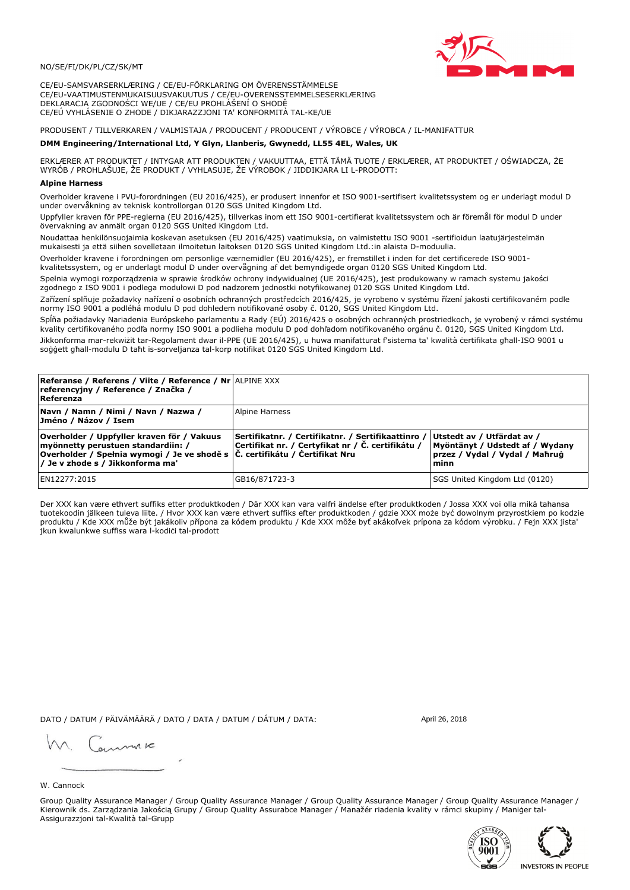## NO/SE/FI/DK/PL/CZ/SK/MT

CE/EU-SAMSVARSERKLÆRING / CE/EU-FÖRKLARING OM ÖVERENSSTÄMMELSE CE/EU-VAATIMUSTENMUKAISUUSVAKUUTUS / CE/EU-OVERENSSTEMMELSESERKLÆRING DEKLARACJA ZGODNOŚCI WE/UE / CE/EU PROHLÁŠENÍ O SHODĚ CE/EÚ VYHLÁSENIE O ZHODE / DIKJARAZZJONI TA' KONFORMITÀ TAL-KE/UE

PRODUSENT / TILLVERKAREN / VALMISTAJA / PRODUCENT / PRODUCENT / VÝROBCE / VÝROBCA / IL-MANIFATTUR

### DMM Engineering/International Ltd, Y Glyn, Llanberis, Gwynedd, LL55 4EL, Wales, UK

ERKLÆRER AT PRODUKTET / INTYGAR ATT PRODUKTEN / VAKUUTTAA, ETTÄ TÄMÄ TUOTE / ERKLÆRER, AT PRODUKTET / OŚWIADCZA, ŻE<br>WYRÓB / PROHLAŠUJE, ŽE PRODUKT / VYHLASUJE, ŽE VÝROBOK / JIDDIKJARA LI L-PRODOTT:

Overholder kravene i PVU-forordningen (EU 2016/425), er produsert innenfor et ISO 9001-sertifisert kvalitetssystem og er underlagt modul D<br>under overvåkning av teknisk kontrollorgan 0120 SGS United Kingdom Ltd.

Uppfyller kraven för PPE-reglerna (EU 2016/425), tillverkas inom ett ISO 9001-certifierat kvalitetssystem och är föremål för modul D under övervakning av anmält organ 0120 SGS United Kingdom Ltd.

Noudattaa henkilönsuojaimia koskevan asetuksen (EU 2016/425) vaatimuksia, on valmistettu ISO 9001 -sertifioidun laatujärjestelmän mukaisesti ja että siihen sovelletaan ilmoitetun laitoksen 0120 SGS United Kingdom Ltd.:in alaista D-moduulia.

Overholder kravene i forordningen om personlige værnemidler (EU 2016/425), er fremstillet i inden for det certificerede ISO 9001kvalitetssystem, og er underlagt modul D under overvågning af det bemyndigede organ 0120 SGS United Kingdom Ltd.

Spełnia wymogi rozporządzenia w sprawie środków ochrony indywidualnej (UE 2016/425), jest produkowany w ramach systemu jakości zgodnego z ISO 9001 i podlega modułowi D pod nadzorem jednostki notyfikowanej 0120 SGS United Kingdom Ltd.

Zařízení splňuje požadavky nařízení o osobních ochranných prostředcích 2016/425, je vyrobeno v systému řízení jakosti certifikovaném podle normy ISO 9001 a podléhá modulu D pod dohledem notifikované osoby č. 0120, SGS United Kingdom Ltd.

Spĺňa požiadavky Nariadenia Európskeho parlamentu a Rady (EÚ) 2016/425 o osobných ochranných prostriedkoch, je vyrobený v rámci systému kvality certifikovaného podľa normy ISO 9001 a podlieha modulu D pod dohľadom notifikovaného orgánu č. 0120, SGS Únited Kingdom Ltd. Jikkonforma mar-rekwiżit tar-Regolament dwar il-PPE (UE 2016/425), u huwa manifatturat f'sistema ta' kwalità certifikata għall-ISO 9001 u soggett ghall-modulu D taht is-sorveljanza tal-korp notifikat 0120 SGS United Kingdom Ltd.

| <b>Referanse / Referens / Viite / Reference / Nr ALPINE XXX</b><br>referencyjny / Reference / Značka /<br>Referenza                                                                                   |                                                                                                         |                                                                                                         |
|-------------------------------------------------------------------------------------------------------------------------------------------------------------------------------------------------------|---------------------------------------------------------------------------------------------------------|---------------------------------------------------------------------------------------------------------|
| Navn / Namn / Nimi / Navn / Nazwa /<br>Jméno / Názov / Isem                                                                                                                                           | Alpine Harness                                                                                          |                                                                                                         |
| Overholder / Uppfyller kraven för / Vakuus<br>myönnetty perustuen standardiin: /<br> Overholder / Spełnia wymogi / Je ve shodě s  Č. certifikátu / Čertifikat Nru<br>/ Je v zhode s / Jikkonforma ma' | Sertifikatnr. / Certifikatnr. / Sertifikaattinro /<br>Certifikat nr. / Certyfikat nr / Č. certifikátu / | Utstedt av / Utfärdat av /<br>Myöntänyt / Udstedt af / Wydany<br>przez / Vydal / Vydal / Mahrug<br>minn |
| EN12277:2015                                                                                                                                                                                          | GB16/871723-3                                                                                           | SGS United Kingdom Ltd (0120)                                                                           |

Der XXX kan være ethvert suffiks etter produktkoden / Där XXX kan vara valfri ändelse efter produktkoden / Jossa XXX voi olla mikä tahansa tuotekoodin jälkeen tuleva liite. / Hvor XXX kan være ethvert suffiks efter produktkoden / gdzie XXX może być dowolnym przyrostkiem po kodzie produktu / Kde XXX může být jakákoliv přípona za kódem produktu / Kde XXX môže byť akákoľvek prípona za kódom výrobku. / Fejn XXX jista jkun kwalunkwe suffiss wara l-kodici tal-prodott

DATO / DATUM / PÄIVÄMÄÄRÄ / DATO / DATA / DATUM / DÁTUM / DATA:

April 26 2018

annuic

## W. Cannock

Group Quality Assurance Manager / Group Quality Assurance Manager / Group Quality Assurance Manager / Group Quality Assurance Manager / Kierownik ds. Zarządzania Jakością Grupy / Group Quality Assurabce Manager / Manažér riadenia kvality v rámci skupiny / Maniger tal-Assigurazzjoni tal-Kwalità tal-Grupp